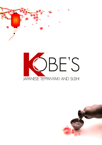



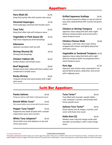### **Appetizers**

| Haru Maki (4)                                                                       | \$5.95 |                                                                                                                            |                                                                                             |  |
|-------------------------------------------------------------------------------------|--------|----------------------------------------------------------------------------------------------------------------------------|---------------------------------------------------------------------------------------------|--|
| Deep fried spring rolls with sesame miso sauce.                                     |        | <b>Grilled Japanese Scallops</b><br>\$9.95<br>Pan seared seasoned scallops on top of a bed of                              |                                                                                             |  |
| <b>Steamed Asparagus</b>                                                            | \$5.95 | spicy kani salad finished with crunchy and green                                                                           |                                                                                             |  |
| Fresh asparagus steamed with teriyaki sauce.                                        |        | onion.                                                                                                                     |                                                                                             |  |
| <b>Tosa Tofu</b>                                                                    | \$5.95 | <b>Chicken or Shrimp Tempura</b>                                                                                           | \$7.50                                                                                      |  |
| Deep fried silken tofu with tempura sauce.                                          |        |                                                                                                                            | Japanese classic deep fried dish with a light<br>delicious tempura batter and served with a |  |
| Vegetable or Pork Gyoza (4)                                                         | \$5.95 | sweet tempura sauce.                                                                                                       |                                                                                             |  |
| Half moon shaped pan fried dumplings.                                               |        | <b>Chicken Cheese Maki</b>                                                                                                 | \$9.00                                                                                      |  |
| <b>Edamame</b><br>Japanese soy beans with sea salt.                                 | \$4.95 | Asparagus, crab meat, and cream cheese<br>wrapped with chicken and lightly deep fried<br>with katsu sauce.                 |                                                                                             |  |
| <b>Shrimp Shumai (4)</b><br>Shrimp fried dumplings.                                 | \$6.50 | <b>Vegetable or Seaweed Tempura</b> \$6.95<br>Japanese classic deep fried dish with a light                                |                                                                                             |  |
| <b>Chicken Yakitori (4)</b><br>Grilled chicken and teriyaki sauce.                  | \$6.50 | delicious tempura batter accompanied with a<br>sweet tempura sauce.                                                        |                                                                                             |  |
| <b>Beef Negimaki</b>                                                                | \$9.00 | Kara Age                                                                                                                   | \$7.50                                                                                      |  |
| Broiled sliced steak rolled with fresh scallion and<br>smothered in teriyaki sauce. |        | Japanese style chicken strips marinated in our<br>special blend of spices, deep fried, and served<br>with a dipping sauce. |                                                                                             |  |
| <b>Rocky Shrimp</b>                                                                 | \$9.95 |                                                                                                                            |                                                                                             |  |
| Tempura shrimp and sweet potato with a light                                        |        |                                                                                                                            |                                                                                             |  |

*Tempura shrimp and sweet potato with a light spicy sauce.*

### **Chicken Cheese Maki** \$9.00

#### **Vegetable or Seaweed Tempura** \$6.95

### **Kara Age** \$7.50

### **Sushi Bar Appetizers**

**Panko Salmon** \$9.95 *Tempura salmon with Kobe's chef special sauce.* **Kimchi White Tuna\*** \$9.95

*Pan seared white tuna served with kimchi sauce.*

| Pepper Tuna Tataki*                         | \$9.95 | Diced s  |
|---------------------------------------------|--------|----------|
| Pennered tuna tataki drizzled with a wasahi |        | <u>.</u> |

*Peppered tuna tataki drizzled with a wasabi mayonnaise sauce and crunches.*

**White Tuna Jalapeno\*** \$9.95

*Sliced white tuna with jalapeno on top and citron yuza sauce.*

#### **Tuna Tartar\*** \$9.95 *Tuna filled with avocado, wasabi tobiko, crab, seaweed, crunches, and drizzled with honey wasabi sauce.*

### **Salmon Toro Tartar\*** \$9.95

*Diced salmon toro & mango, crunches, and cavier with fruity miso sauce.*

#### **Kaika Kani (2)** \$9.95

*Alaskan snow crab andmango inside with avocado surrounding it, with a sweet tangy sauce.*

#### \*Contains Raw Fish CONSUMER ADVISORIES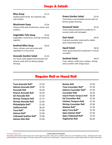### **Soups & Salads**

| Soybean paste broth, dry seaweed, tofu,<br>and scallions. |        | <b>Green Garden Sala</b><br>Fresh lettuce and shred<br>famous ginger dressing. |
|-----------------------------------------------------------|--------|--------------------------------------------------------------------------------|
| <b>Mushroom Soup</b>                                      | \$2.50 |                                                                                |
| Chicken broth with mushrooms, onions, and<br>scallions.   |        | <b>Seaweed Salad</b><br>Fresh seaweed seasone<br>sesame seeds and red p        |
| <b>Vegetable Tofu Soup</b>                                | \$5.00 |                                                                                |
| Vegetables, mushrooms, and tofu simmered<br>together.     |        | Kani Salad<br>Crab and cucumber mix<br>spicy mayonnaise blend                  |
| <b>Seafood Miso Soup</b>                                  | \$6.50 |                                                                                |
| Clams, shrimp, and crab mixed with                        |        | <b>Squid Salad</b>                                                             |
| vegetable in a miso broth.                                |        | Fresh squid seasoned to<br>cucumber.                                           |

### **Avocado Garden Salad** \$5.50

**Miso Soup** \$2.75

*Our house salad topped with avocado and sesame seeds with our famous ginger dressing.*

**Green Garden Salad** \$3.50 *Fresh lettuce and shredded carrots with our famous ginger dressing.*

### **Seaweed Salad**  $\qquad$  \$5.50

*Fresh seaweed seasoned to perfection in sesame seeds and red pepper.*

### **Kani Salad** \$6.50

*Crab and cucumber mixed with a tobiko spicy mayonnaise blend.*

#### **Squid Salad** \$8.50

*Fresh squid seasoned to perfection in a fresh cucumber.*

### **Seafood Salad** \$9.50

*Tuna, salmon, white tuna, octopus, shrimp, and cucumber with vinogo sauce.*

## **Regular Roll or Hand Roll**

| Tuna Avocado Roll*         | \$7.50 | Bos       |
|----------------------------|--------|-----------|
| Salmon Avocado Roll*       | \$7.50 | Tur       |
| <b>Avocado Roll</b>        | \$5.50 | Sal       |
| <b>Peanut Avocado Roll</b> | \$5.50 | Cu        |
| <b>Eel Avocado Roll</b>    | \$7.50 | <b>Sw</b> |
| <b>Shrimp Tempura Roll</b> | \$7.75 | Eel       |
| <b>Shrimp Avocado Roll</b> | \$7.00 | Chi       |
| Philadelphia Roll*         | \$7.50 | Shr       |
| <b>California Roll</b>     | \$6.50 | Ala       |
| Tuna Roll*                 | \$7.00 | Spi       |
| Salmon Roll*               | \$7.00 | Spi       |
| Yellowtail Scallion Roll*  | \$7.00 | Spi       |
| Salmon Skin Roll           | \$7.00 | Ve        |
|                            |        |           |

| <b>Boston Roll</b>               | \$7.50 |
|----------------------------------|--------|
| Tuna Cucumber Roll*              | \$7.50 |
| Salmon Cucumber Roll*            | \$7.50 |
| <b>Cucumber Roll</b>             | \$5.50 |
| <b>Sweet Potato Tempura Roll</b> | \$6.50 |
| <b>Eel Cucumber Roll</b>         | \$7.50 |
| <b>Chicken Tempura Roll</b>      | \$7.50 |
| <b>Shrimp Cucumber Roll</b>      | \$7.00 |
| Alaskan Roll*                    | \$7.50 |
| Spicy Tuna Roll*                 | \$7.50 |
| <b>Spicy Salmon Roll*</b>        | \$7.50 |
| Spicy Yellowtail Roll*           | \$7.50 |
| <b>Vegetarian Roll</b>           | \$6.50 |

#### \*Contains Raw Fish CONSUMER ADVISORIES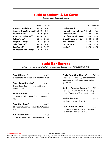### **Sushi or Sashimi A La Carte**

*Sushi: 1 piece, Sashimi: 2 pieces*

| Sushi                         | Sashimi   |                    |
|-------------------------------|-----------|--------------------|
| \$3.25                        | \$4.25    | Egg (Tama          |
| Amaebi (Sweet Shrimp)* \$4.00 | <b>NA</b> | <b>Tobiko (Fly</b> |
| \$3.50                        | \$4.50    | <b>Tako (Octo</b>  |
| \$3.50                        | \$4.50    | Kani (Moc          |
| \$3.25                        | \$4.25    | <b>Unagi (Fre</b>  |
| \$3.25                        | \$4.25    | <b>Red Snapp</b>   |
| \$3.25                        | \$4.25    | Ebi (Shrim         |
| \$3.25                        | \$4.25    | Scallop*           |
| \$3.50                        | NA.       |                    |
|                               |           |                    |

| Sushi | Sashimi       |                                     | Sushi Sashimi   |
|-------|---------------|-------------------------------------|-----------------|
| 3.25  | \$4.25        | Egg (Tamago)                        | $$2.75$ \$3.75  |
| 54.00 | NA.           | Tobiko (Flying Fish Roe)* \$3.25    | ΝA              |
| 3.50  | \$4.50        | Tako (Octopus)                      | $$3.50$ \$4.50  |
| 3.50  | \$4.50        | Kani (Mock Crab Meat) \$3.00 \$4.00 |                 |
|       | \$3.25 \$4.25 | Unagi (Freshwater Eel)              | $$3.50$ \$4.50  |
|       | \$3.25 \$4.25 | Red Snapper*                        | $$3.00$ \$4.00  |
| 3.25  | \$4.25        | Ebi (Shrimp)                        | $$3.00$ \$4.00  |
|       | \$3.25 \$4.25 | Scallop*                            | $$3.50$ $$4.50$ |
|       |               |                                     |                 |

### **Sushi Bar Entrees**

*All sushi entrees are chef's choice and served with miso soup. NO SUBSTITUTIONS.*

| Sushi Dinner*                                    | \$20.95 | Party         |
|--------------------------------------------------|---------|---------------|
| 9 pieces of sushi served with a California roll. |         | 12 piec       |
|                                                  |         | served        |
| Spicy Maki Combo*                                | \$16.95 | special       |
| 1 spicy tuna, 1 spicy salmon, and 1 spicy        |         |               |
| California roll.                                 |         | <b>Sushi</b>  |
|                                                  |         | 4 pieces      |
| Maki Combo*                                      | \$15.95 | assorte       |
| 1 California roll, 1 tuna roll, and 1 salmon     |         |               |
| roII.                                            |         | <b>Sashir</b> |
|                                                  |         | 14 piec       |
| Sushi for Two*                                   | \$38.95 |               |
| 16 pieces of assorted sushi with chef special    |         | Lover         |
| roII.                                            |         | 7 pieces      |
|                                                  |         | served        |
| Chirashi Dinner*                                 | \$21.95 |               |
| 12 pieces of assorted sashimi over sushi rice.   |         |               |
|                                                  |         |               |
|                                                  |         |               |

**Sushi Dinner\*** \$20.95 **Party Boat (for Three)\*** \$76.95 *12 pieces ofsushi & 20 pieces ofsashimi served with a California roll and a chef*

*special roll.* **Sushi & Sashimi Combo\*** \$25.95

*4 pieces of assorted sushi & 7 pieces of assorted sashimi with spicy salmon roll.*

**Sashimi Dinner\*** \$22.95 *14 pieces ofassorted raw fish.*

**Lover Boat (for Two)\*** \$50.95 *7 pieces of sushi & 15 pieces of sashimi served with a chef special roll.*

#### \*Contains Raw Fish CONSUMER ADVISORIES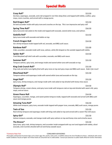## **Special Rolls**

| Crazy Roll*<br>Sea bass, asparagus, avocado, and crab wrapped in nori then deep fried, and topped with tobiko, scallion, spicy<br>mayo, more crunches, and served with a mango puree.              | \$13.50 |
|----------------------------------------------------------------------------------------------------------------------------------------------------------------------------------------------------|---------|
| Red Dragon Roll*<br>Eel and cucumber inside with spicy tuna and crunches on the top. This is an impressive and spicy roll!                                                                         | \$15.50 |
| <b>Spring Time Roll*</b><br>Spicy tuna and crab salad on the inside and topped with avocado, seared white tuna, and salmon.                                                                        | \$16.50 |
| Godzilla Roll*<br>Spicy tuna inside with avocado and tobiko on top.                                                                                                                                | \$13.50 |
| <b>French Dragon Roll</b><br>Our shrimp tempura inside topped with eel, avocado, and BBQ sushi sauce.                                                                                              | \$14.50 |
| <b>Rainbow Roll*</b><br>Crab, cucumber, avocado inside with tuna, salmon, white fish draped on the outside topped with tobiko.                                                                     | \$15.00 |
| Spider Roll*<br>Fried Maryland soft shell crab with cucumber, avocado, and BBQ sushi sauce.                                                                                                        | \$14.50 |
| Summer Roll*<br>Tempura salmon, spicy tuna, and mango inside and seared white tuna with avocado on top.                                                                                            | \$15.50 |
| King Crab Crunch Roll*<br>King crab and white tuna lightly fried with spicy tuna on top and spicy mayo and BBQ sushi sauce. Kobe's fan must!                                                       | \$15.50 |
| Moorhead Roll*<br>Tempura salmon and asparagus inside with seared white tuna and avocado on the top.                                                                                               | \$15.50 |
| Angel Roll*<br>Spicy tuna, shrimp tempura, and mango inside with crab salad on top drizzled with honey miso sauce.                                                                                 | \$15.50 |
| Olympic Roll*<br>Tempura shrimp, cream cheese, and spicy tuna inside with tempura crab on top and drizzled with sweet chili, spicy<br>mayo, and eel sauce.                                         | \$14.50 |
| <b>Green Peace Roll</b><br>Asparagus, cucumber, mango, and sweet potato tempura inside, topped with avocado and served with BBQ sushi<br>sauce and mango puree.                                    | \$14.50 |
| <b>Amazing Tuna Roll*</b><br>White tuna tempura, spicy tuna, avocado inside topped with pepper tuna, avocado, BBQ sushi sauce, mango puree.                                                        | \$16.50 |
| <b>Twin of Sea</b><br>Rock shrimp tempura and asparagus inside with king crab salad on top and served with a sweet Thai chili sauce.                                                               | \$15.50 |
| Spicy Girl*<br>Salmon tempura, avocado, and mango inside with spicy salmon on top and honey miso and sriracha sauce.                                                                               | \$15.50 |
| The Breeze*<br>Spicy tuna, spicy crab, shrimp tempura, and cucumber inside wrapped with soy nori and topped with tobiko, sliced<br>avocado, and crunches drizzled with eel and honey wasabi sauce. | \$15.50 |
|                                                                                                                                                                                                    |         |

#### \*Contains Raw Fish CONSUMER ADVISORIES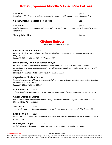### **Kobe's Japanese Noodle & Fried Rice Entrees**

| Yaki Soba<br>Your choice of beef, chicken, shrimp, or vegetables pan-fried with Japanese buck wheat noodles.                       | \$16.95 |
|------------------------------------------------------------------------------------------------------------------------------------|---------|
| <b>Chicken, Beef, or Vegetable Fried Rice</b>                                                                                      | \$11.95 |
| Yaki Udon<br>Pan-fried Japanese udon noodles with fresh Gulf Coast jumbo shrimp, crab sticks, scallops and seasonal<br>vegetables. | \$18.95 |
| <b>Shrimp Fried Rice</b>                                                                                                           | \$12.00 |

### **Kitchen Entrees**

*Served with fried rice miso soup.*

#### **Chicken or Shrimp Tempura**

*Japanese classic deep fried dish with a light and delicious tempura batter accompanied with a sweet tempura sauce. Vegetable \$13.95 / Chicken \$15.95 / Shrimp \$17.95*

#### **Steak, Scallop, Shrimp, or Salmon Teriyaki**

Pick your favorite from the above and we will cook it perfectly then place it on a bed of sweet *caramelized onions drenched in our special teriyaki sauce on a sizzling hot skillet plate. The aroma will put you back in your chair. Steak \$20.95 / Scallop \$21.95 / Shrimp \$20.95 / Salmon \$20.95*

#### **Vegetable or Chicken Teriyaki**

*Seasonal vegetables or chicken breast served sizzling hot on a bed of caramelized sweet onions drenched in our special teriyaki sauce. Vegetable \$14.95 / Chicken \$16.95*

#### **Salmon Passion** \$20.95

Salmon filets broiled with just salt, pepper, and butter on a bed of vegetables with a special chef sauce.

#### **Ginger Chicken or Shrimp**

Fresh chicken breast or Gulf Coast jumbo shrimp cooked in a Japanese ginger sauce on a bed of onions. *Chicken \$15.95 / Shrimp\$20.95*

#### **Tuna Steak\*** \$23.95

Sushi grade tuna seared to your liking in a sake soy butter sauce placed on a bed of fresh vegetables.

#### **Kobe's Shrimp** \$20.95

*Jumbo Gulf Coast shrimp surrounding pan fried snow peas, carrots and onions served in a delicious miso cream sauce.*

#### **Filet Mignon (Angus)** \$26.95

*Grain fed Midwest filet beef seared just the way you want it in a very special chef sauce.*

#### \*Contains Raw Fish CONSUMER ADVISORIES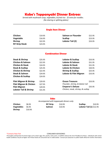### **Kobe's Teppanyaki Dinner Entrees**

*Served with mushroom soup, vegetables, & fried rice. \$2 extra for noodles.(No sharing or splitting plates)*

#### **Single Item Dinner**

| <b>Chicken</b>        | \$19.95 | Salmon or Flounder | \$22.95 |  |
|-----------------------|---------|--------------------|---------|--|
| Vegetable             | \$16.95 | <b>Scallop</b>     | \$23.95 |  |
| <b>Shrimp</b>         | \$22.95 | Lobster Tail (2)   | \$33.95 |  |
| <b>NY Strip Steak</b> | \$23.95 |                    |         |  |

#### **Combination Dinner**

| <b>Steak &amp; Shrimp</b><br><b>Chicken &amp; Salmon</b><br><b>Chicken &amp; Steak</b><br><b>Steak &amp; Scallop</b><br><b>Chicken &amp; Shrimp</b><br><b>Steak &amp; Salmon</b><br><b>Chicken &amp; Scallop</b> | \$25.95<br>\$22.95<br>\$24.95<br>\$25.95<br>\$22.95<br>\$24.95<br>\$24.95 | Lobster & Scallop<br>Lobster & Salmon<br>Lobster & Steak<br>Lobster & Chicken<br><b>Shrimp &amp; Scallop</b><br>Lobster & Filet Mignon | \$33.95<br>\$31.95<br>\$31.95<br>\$30.95<br>\$25.95<br>\$33.95 |
|------------------------------------------------------------------------------------------------------------------------------------------------------------------------------------------------------------------|---------------------------------------------------------------------------|----------------------------------------------------------------------------------------------------------------------------------------|----------------------------------------------------------------|
| <b>Filet Mignon &amp; Shrimp</b><br><b>Filet Mignon &amp; Chicken</b><br><b>Filet Mignon</b><br><b>Lobster Tail &amp; Shrimp</b>                                                                                 | \$29.95<br>\$27.95<br>\$29.95<br>\$31.95                                  | <b>Ocean Treasure</b><br>Flounder, shrimp, & lobster tail<br><b>Emperor's Deluxe</b><br>Chicken, steak, shrimp, & scallop              | \$33.95<br>\$35.95                                             |

#### **Sides**

*Accompanied with teppanyaki dinners only*

| Chicken       | \$8.95  | <b>NY Strip</b> | \$10.95 | <b>Scallop</b><br>\$10.95 |
|---------------|---------|-----------------|---------|---------------------------|
| Vegetables    | \$6.95  | <b>Salmon</b>   | \$10.95 | Lobster Tail (1) \$12.95  |
| <b>Shrimp</b> | \$10.95 |                 |         |                           |

#### \*Contains Raw Fish CONSUMER ADVISORIES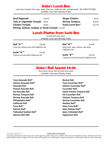### **Kobe's Lunch Box**

*Lunch box includes miso soup, salad,fried rice, California rolls, and harumaki. NO SUBSTITUTIONS. Available 11am-3pm Monday-Friday*

| <b>Beef Negimaki</b>              | \$10.95 | <b>Ginger Chicken</b> | \$9.95  |
|-----------------------------------|---------|-----------------------|---------|
| Tofu or Vegetable Teriyaki \$8.95 |         | <b>Shrimp Tempura</b> | \$10.95 |
| <b>Chicken Teriyaki</b>           | \$9.95  | Sushi Lunch Box*      | \$11.95 |
|                                   |         |                       |         |

**Shrimp, Salmon, Scallop, or Steak Teriyaki** \$11.95

### **Lunch Platter from Sushi Bar**

| Served with miso soup.           |  |
|----------------------------------|--|
| Available 11am-3pm Monday-Friday |  |

| Roll "A"*                                    | \$13.95 | R <sub>0</sub> |
|----------------------------------------------|---------|----------------|
| Tuna roll, salmon roll, and California roll. |         | Sp             |

**Sushi "A"\*** \$13.95

*5* **513.95 12.95 html 7** *nd California roll.**Spicy tuna, spicy salmon, and spicy***<br>** *Spicy tuna, spicy salmon, and spicy***<br>
<b>Sushi "A"\*** \$13.95<br> *5 pieces of sushi with California roll.* **Sushi "B"\*** \$15.95 *Spicy tuna, spicy salmon, and spicy California roll.*

**Sushi "B"\*** \$15.95 *7 pieces of sushi with spicy California roll.*

## **Kobe's Roll Special \$9.95**

*Your choice of any two rolls and miso soup. Available 11am-3pm Monday-Friday*

**Tuna Avocado Roll\* Salmon Avocado Roll\* Avocado Roll Peanut Avocado Roll Eel Avocado Roll Shrimp Tempura Roll Shrimp Avocado Roll Philadelphia Roll\* California Roll Tuna Roll\* Salmon Roll\* Yellowtail Scallion Roll\* Salmon Skin Roll**

**Boston Roll Tuna Cucumber Roll\* Salmon Cucumber Roll\* Cucumber Roll Sweet Potato Tempura Roll Eel Cucumber Roll Chicken Tempura Roll Shrimp Cucumber Roll Alaskan Roll\* Spicy Tuna Roll\* Spicy Salmon Roll\* Spicy Yellowtail Roll\* Vegetarian Roll**

\*Contains Raw Fish CONSUMER ADVISORIES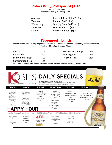## **Kobe's Daily Roll Special \$9.95**

*Served with miso soup. Available 11am-3pm Monday-Friday*

| Monday    | King Crab Crunch Roll* (8pc) |
|-----------|------------------------------|
| Tuesday   | Summer Roll* (8pc)           |
| Wednesday | Amazing Tuna Roll* (8pc)     |
| Thursday  | Moorhead Roll* (8pc)         |
| Friday    | Red Dragon Roll* (8pc)       |

### **Teppanyaki Lunch**

*Served with mushroom soup, vegetable, & fried rice. \$2 extra for noodles.(No sharing or splitting plates)* Available 11am-3pm Monday-Friday

| Chicken                 | \$11.95 | Flounder or Shrimp                                                                                        | \$12.95 |  |
|-------------------------|---------|-----------------------------------------------------------------------------------------------------------|---------|--|
| Vegetable               | \$10.95 | Filet Mignon                                                                                              | \$13.95 |  |
| Salmon or Scallop       | \$12.95 | <b>NY Strip Steak</b>                                                                                     | \$13.95 |  |
| <b>Combination Meal</b> | \$16.95 |                                                                                                           |         |  |
|                         |         | ويتواويون والأروم والمتواليون وموالمومون ومشرطون بالوجيف ومواولها والمتوجب والمتواطن والمستحار والمستورات |         |  |

*Your choice of any two items: chicken, steak, shrimp, scallop, salmon, or flounder.*